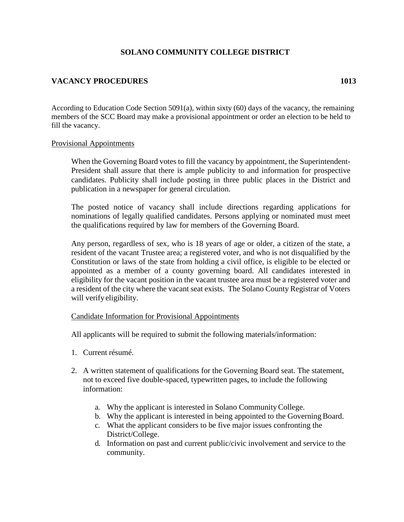## **SOLANO COMMUNITY COLLEGE DISTRICT**

# **VACANCY PROCEDURES 1013**

According to Education Code Section 5091(a), within sixty (60) days of the vacancy, the remaining members of the SCC Board may make a provisional appointment or order an election to be held to fill the vacancy.

#### Provisional Appointments

When the Governing Board votes to fill the vacancy by appointment, the Superintendent-President shall assure that there is ample publicity to and information for prospective candidates. Publicity shall include posting in three public places in the District and publication in a newspaper for general circulation.

The posted notice of vacancy shall include directions regarding applications for nominations of legally qualified candidates. Persons applying or nominated must meet the qualifications required by law for members of the Governing Board.

Any person, regardless of sex, who is 18 years of age or older, a citizen of the state, a resident of the vacant Trustee area; a registered voter, and who is not disqualified by the Constitution or laws of the state from holding a civil office, is eligible to be elected or appointed as a member of a county governing board. All candidates interested in eligibility for the vacant position in the vacant trustee area must be a registered voter and a resident of the city where the vacant seat exists. The Solano County Registrar of Voters will verify eligibility.

### Candidate Information for Provisional Appointments

All applicants will be required to submit the following materials/information:

- 1. Current résumé.
- 2. A written statement of qualifications for the Governing Board seat. The statement, not to exceed five double-spaced, typewritten pages, to include the following information:
	- a. Why the applicant is interested in Solano CommunityCollege.
	- b. Why the applicant is interested in being appointed to the Governing Board.
	- c. What the applicant considers to be five major issues confronting the District/College.
	- d. Information on past and current public/civic involvement and service to the community.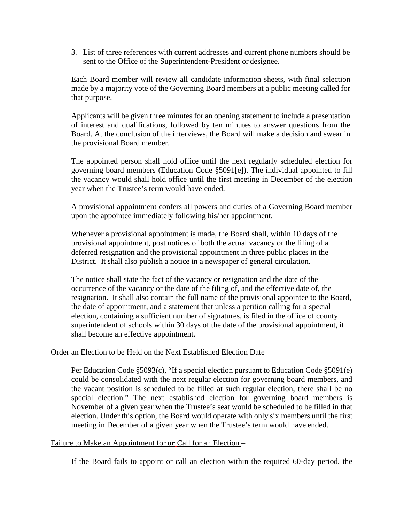3. List of three references with current addresses and current phone numbers should be sent to the Office of the Superintendent-President or designee.

Each Board member will review all candidate information sheets, with final selection made by a majority vote of the Governing Board members at a public meeting called for that purpose.

Applicants will be given three minutes for an opening statement to include a presentation of interest and qualifications, followed by ten minutes to answer questions from the Board. At the conclusion of the interviews, the Board will make a decision and swear in the provisional Board member.

The appointed person shall hold office until the next regularly scheduled election for governing board members (Education Code §5091[e]). The individual appointed to fill the vacancy would shall hold office until the first meeting in December of the election year when the Trustee's term would have ended.

A provisional appointment confers all powers and duties of a Governing Board member upon the appointee immediately following his/her appointment.

Whenever a provisional appointment is made, the Board shall, within 10 days of the provisional appointment, post notices of both the actual vacancy or the filing of a deferred resignation and the provisional appointment in three public places in the District. It shall also publish a notice in a newspaper of general circulation.

The notice shall state the fact of the vacancy or resignation and the date of the occurrence of the vacancy or the date of the filing of, and the effective date of, the resignation. It shall also contain the full name of the provisional appointee to the Board, the date of appointment, and a statement that unless a petition calling for a special election, containing a sufficient number of signatures, is filed in the office of county superintendent of schools within 30 days of the date of the provisional appointment, it shall become an effective appointment.

### Order an Election to be Held on the Next Established Election Date –

Per Education Code §5093(c), "If a special election pursuant to Education Code §5091(e) could be consolidated with the next regular election for governing board members, and the vacant position is scheduled to be filled at such regular election, there shall be no special election." The next established election for governing board members is November of a given year when the Trustee's seat would be scheduled to be filled in that election. Under this option, the Board would operate with only six members until the first meeting in December of a given year when the Trustee's term would have ended.

### Failure to Make an Appointment for **or** Call for an Election –

If the Board fails to appoint or call an election within the required 60-day period, the